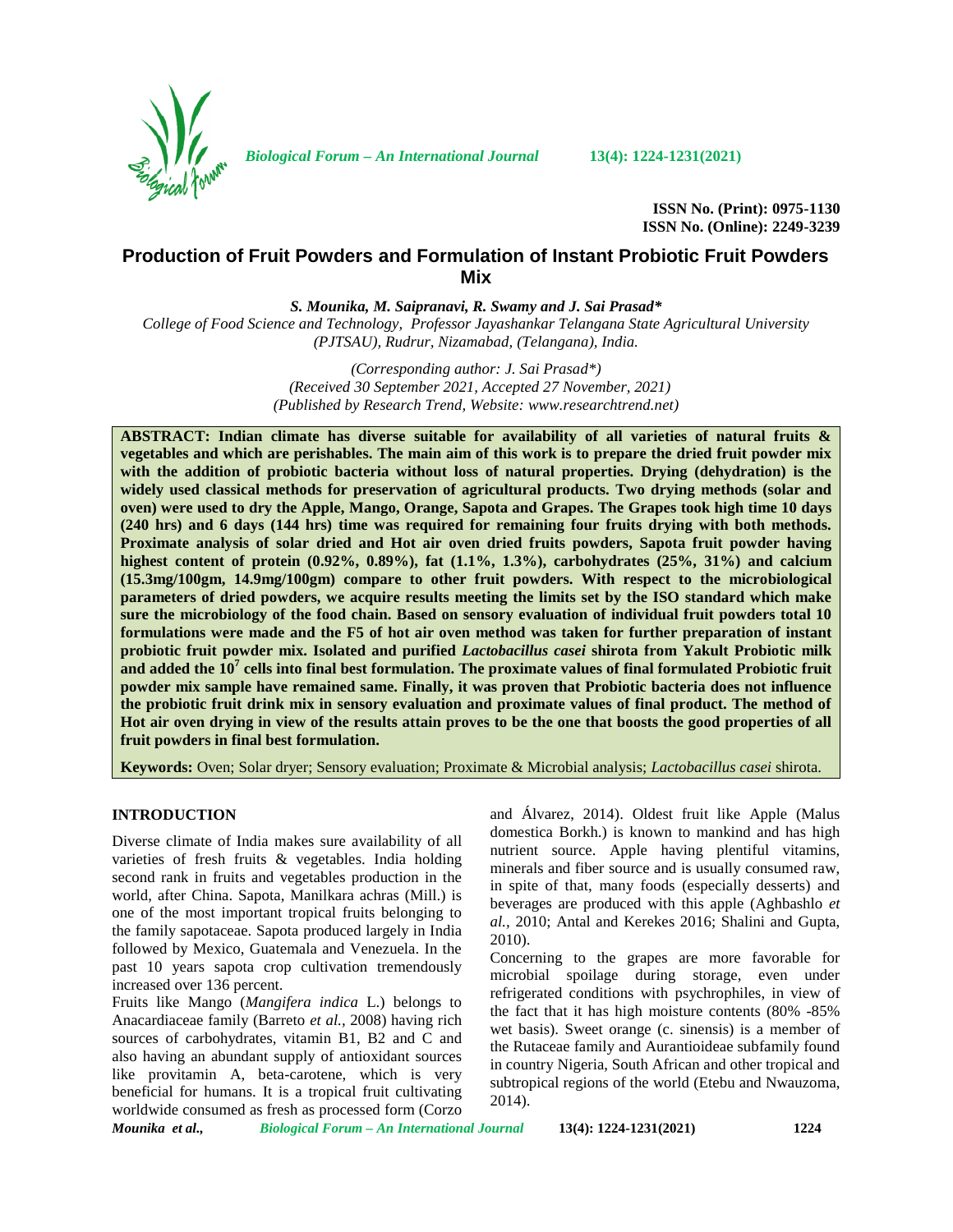

*Biological Forum – An International Journal* **13(4): 1224-1231(2021)**

**ISSN No. (Print): 0975-1130 ISSN No. (Online): 2249-3239**

# **Production of Fruit Powders and Formulation of Instant Probiotic Fruit Powders Mix**

*S. Mounika, M. Saipranavi, R. Swamy and J. Sai Prasad\**

*College of Food Science and Technology, Professor Jayashankar Telangana State Agricultural University (PJTSAU), Rudrur, Nizamabad, (Telangana), India.*

> *(Corresponding author: J. Sai Prasad\*) (Received 30 September 2021, Accepted 27 November, 2021) (Published by Research Trend, Website: [www.researchtrend.net\)](www.researchtrend.net)*

**ABSTRACT: Indian climate has diverse suitable for availability of all varieties of natural fruits & vegetables and which are perishables. The main aim of this work is to prepare the dried fruit powder mix with the addition of probiotic bacteria without loss of natural properties. Drying (dehydration) is the widely used classical methods for preservation of agricultural products. Two drying methods (solar and oven) were used to dry the Apple, Mango, Orange, Sapota and Grapes. The Grapes took high time 10 days (240 hrs) and 6 days (144 hrs) time was required for remaining four fruits drying with both methods. Proximate analysis of solar dried and Hot air oven dried fruits powders, Sapota fruit powder having highest content of protein (0.92%, 0.89%), fat (1.1%, 1.3%), carbohydrates (25%, 31%) and calcium (15.3mg/100gm, 14.9mg/100gm) compare to other fruit powders. With respect to the microbiological parameters of dried powders, we acquire results meeting the limits set by the ISO standard which make sure the microbiology of the food chain. Based on sensory evaluation of individual fruit powders total 10 formulations were made and the F5 of hot air oven method was taken for further preparation of instant probiotic fruit powder mix. Isolated and purified** *Lactobacillus casei* **shirota from Yakult Probiotic milk and added the 10<sup>7</sup> cells into final best formulation. The proximate values of final formulated Probiotic fruit powder mix sample have remained same. Finally, it was proven that Probiotic bacteria does not influence the probiotic fruit drink mix in sensory evaluation and proximate values of final product. The method of Hot air oven drying in view of the results attain proves to be the one that boosts the good properties of all fruit powders in final best formulation.**

**Keywords:** Oven; Solar dryer; Sensory evaluation; Proximate & Microbial analysis; *Lactobacillus casei* shirota.

### **INTRODUCTION**

Diverse climate of India makes sure availability of all varieties of fresh fruits & vegetables. India holding second rank in fruits and vegetables production in the world, after China. Sapota, Manilkara achras (Mill.) is one of the most important tropical fruits belonging to the family sapotaceae. Sapota produced largely in India followed by Mexico, Guatemala and Venezuela. In the past 10 years sapota crop cultivation tremendously increased over 136 percent.

Fruits like Mango (*Mangifera indica* L.) belongs to Anacardiaceae family (Barreto *et al.,* 2008) having rich sources of carbohydrates, vitamin B1, B2 and C and also having an abundant supply of antioxidant sources like provitamin A, beta-carotene, which is very beneficial for humans. It is a tropical fruit cultivating worldwide consumed as fresh as processed form (Corzo

and Álvarez, 2014). Oldest fruit like Apple (Malus domestica Borkh.) is known to mankind and has high nutrient source. Apple having plentiful vitamins, minerals and fiber source and is usually consumed raw, in spite of that, many foods (especially desserts) and beverages are produced with this apple (Aghbashlo *et al.,* 2010; Antal and Kerekes 2016; Shalini and Gupta, 2010).

Concerning to the grapes are more favorable for microbial spoilage during storage, even under refrigerated conditions with psychrophiles, in view of the fact that it has high moisture contents (80% -85% wet basis). Sweet orange (c. sinensis) is a member of the Rutaceae family and Aurantioideae subfamily found in country Nigeria, South African and other tropical and subtropical regions of the world (Etebu and Nwauzoma, 2014).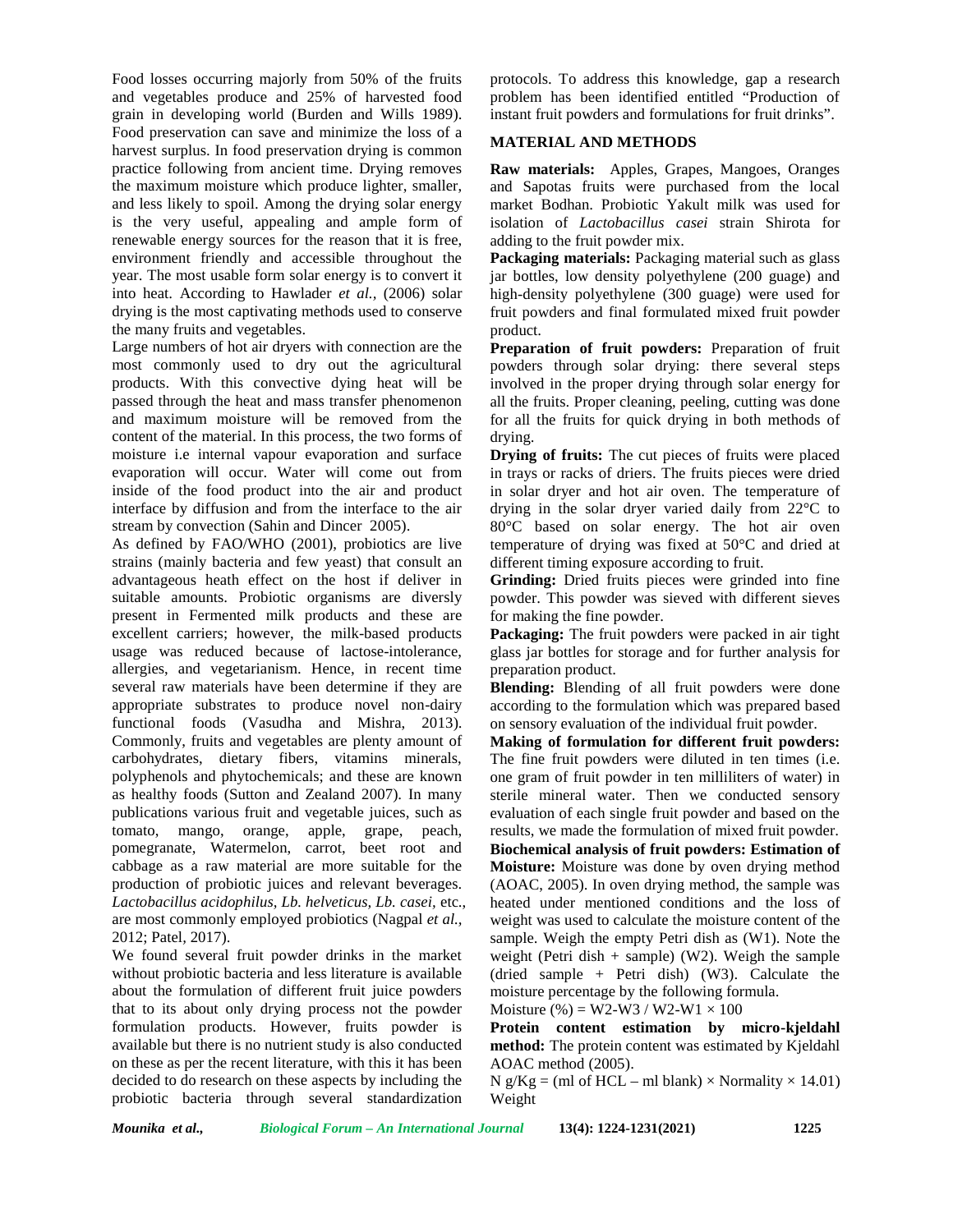Food losses occurring majorly from 50% of the fruits and vegetables produce and 25% of harvested food grain in developing world (Burden and Wills 1989). Food preservation can save and minimize the loss of a harvest surplus. In food preservation drying is common practice following from ancient time. Drying removes the maximum moisture which produce lighter, smaller, and less likely to spoil. Among the drying solar energy is the very useful, appealing and ample form of renewable energy sources for the reason that it is free, environment friendly and accessible throughout the year. The most usable form solar energy is to convert it into heat. According to Hawlader *et al.,* (2006) solar drying is the most captivating methods used to conserve the many fruits and vegetables.

Large numbers of hot air dryers with connection are the most commonly used to dry out the agricultural products. With this convective dying heat will be passed through the heat and mass transfer phenomenon and maximum moisture will be removed from the content of the material. In this process, the two forms of moisture i.e internal vapour evaporation and surface evaporation will occur. Water will come out from inside of the food product into the air and product interface by diffusion and from the interface to the air stream by convection (Sahin and Dincer 2005).

As defined by FAO/WHO (2001), probiotics are live strains (mainly bacteria and few yeast) that consult an advantageous heath effect on the host if deliver in suitable amounts. Probiotic organisms are diversly present in Fermented milk products and these are excellent carriers; however, the milk-based products usage was reduced because of lactose-intolerance, allergies, and vegetarianism. Hence, in recent time several raw materials have been determine if they are appropriate substrates to produce novel non-dairy functional foods (Vasudha and Mishra, 2013). Commonly, fruits and vegetables are plenty amount of carbohydrates, dietary fibers, vitamins minerals, polyphenols and phytochemicals; and these are known as healthy foods (Sutton and Zealand 2007). In many publications various fruit and vegetable juices, such as tomato, mango, orange, apple, grape, peach, pomegranate, Watermelon, carrot, beet root and cabbage as a raw material are more suitable for the production of probiotic juices and relevant beverages. *Lactobacillus acidophilus, Lb. helveticus, Lb. casei,* etc., are most commonly employed probiotics (Nagpal *et al.,* 2012; Patel*,* 2017).

We found several fruit powder drinks in the market without probiotic bacteria and less literature is available about the formulation of different fruit juice powders that to its about only drying process not the powder formulation products. However, fruits powder is available but there is no nutrient study is also conducted on these as per the recent literature, with this it has been decided to do research on these aspects by including the probiotic bacteria through several standardization

protocols. To address this knowledge, gap a research problem has been identified entitled "Production of instant fruit powders and formulations for fruit drinks".

## **MATERIAL AND METHODS**

**Raw materials:** Apples, Grapes, Mangoes, Oranges and Sapotas fruits were purchased from the local market Bodhan. Probiotic Yakult milk was used for isolation of *Lactobacillus casei* strain Shirota for adding to the fruit powder mix.

**Packaging materials:** Packaging material such as glass jar bottles, low density polyethylene (200 guage) and high-density polyethylene (300 guage) were used for fruit powders and final formulated mixed fruit powder product.

**Preparation of fruit powders:** Preparation of fruit powders through solar drying: there several steps involved in the proper drying through solar energy for all the fruits. Proper cleaning, peeling, cutting was done for all the fruits for quick drying in both methods of drying.

**Drying of fruits:** The cut pieces of fruits were placed in trays or racks of driers. The fruits pieces were dried in solar dryer and hot air oven. The temperature of drying in the solar dryer varied daily from 22°C to 80°C based on solar energy. The hot air oven temperature of drying was fixed at 50°C and dried at different timing exposure according to fruit.

**Grinding:** Dried fruits pieces were grinded into fine powder. This powder was sieved with different sieves for making the fine powder.

**Packaging:** The fruit powders were packed in air tight glass jar bottles for storage and for further analysis for preparation product.

**Blending:** Blending of all fruit powders were done according to the formulation which was prepared based on sensory evaluation of the individual fruit powder.

**Making of formulation for different fruit powders:** The fine fruit powders were diluted in ten times (i.e. one gram of fruit powder in ten milliliters of water) in sterile mineral water. Then we conducted sensory evaluation of each single fruit powder and based on the results, we made the formulation of mixed fruit powder. **Biochemical analysis of fruit powders: Estimation of Moisture:** Moisture was done by oven drying method (AOAC, 2005). In oven drying method, the sample was heated under mentioned conditions and the loss of weight was used to calculate the moisture content of the sample. Weigh the empty Petri dish as (W1). Note the weight (Petri dish  $+$  sample) (W2). Weigh the sample (dried sample + Petri dish) (W3). Calculate the moisture percentage by the following formula.

Moisture  $% = W2-W3 / W2-W1 \times 100$ 

**Protein content estimation by micro-kjeldahl method:** The protein content was estimated by Kjeldahl AOAC method (2005).

 $N g/Kg = (ml of HCL - ml blank) \times Normality \times 14.01)$ Weight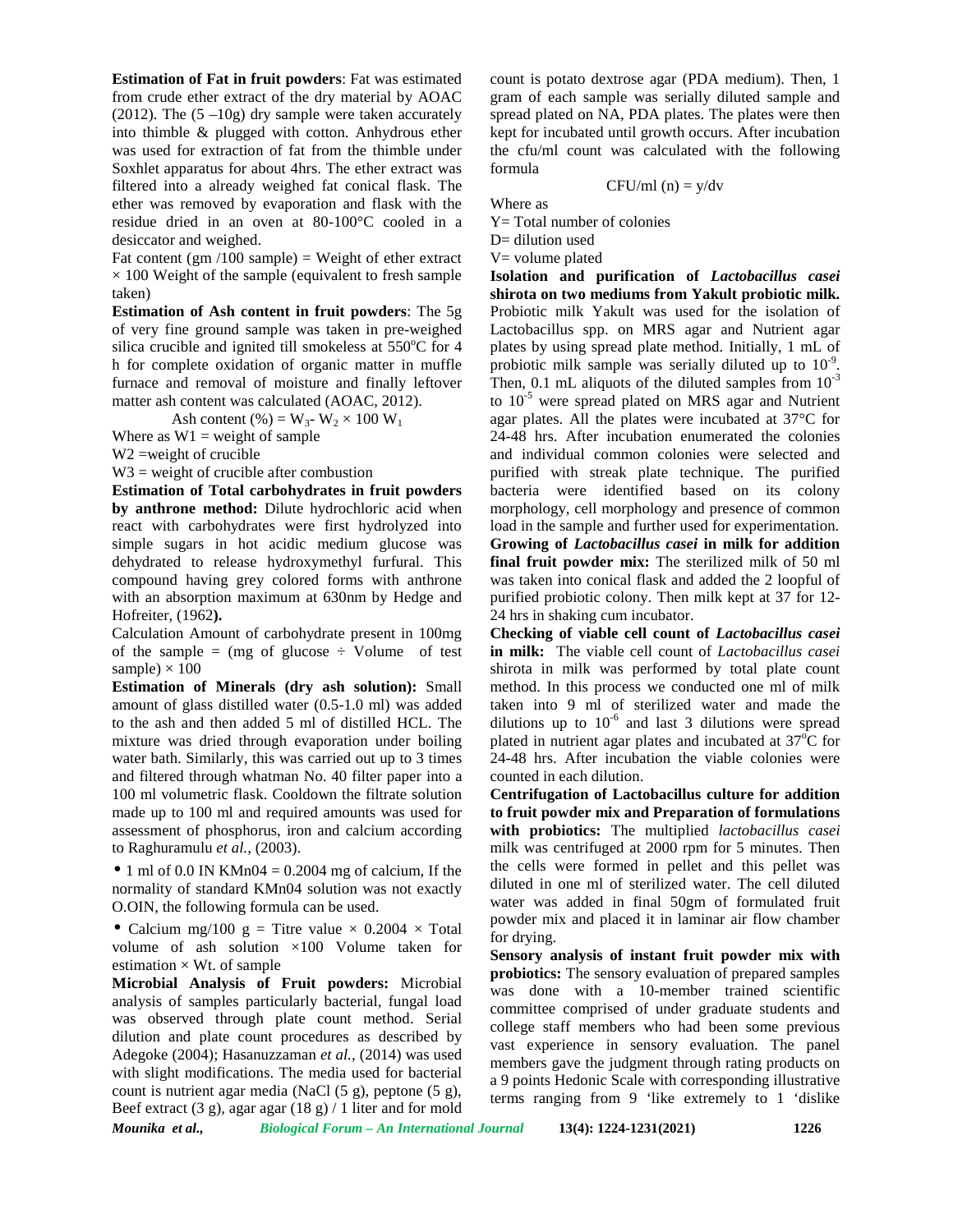**Estimation of Fat in fruit powders**: Fat was estimated from crude ether extract of the dry material by AOAC (2012). The  $(5-10g)$  dry sample were taken accurately into thimble & plugged with cotton. Anhydrous ether was used for extraction of fat from the thimble under Soxhlet apparatus for about 4hrs. The ether extract was filtered into a already weighed fat conical flask. The ether was removed by evaporation and flask with the residue dried in an oven at 80-100°C cooled in a desiccator and weighed.

Fat content (gm  $/100$  sample) = Weight of ether extract  $\times$  100 Weight of the sample (equivalent to fresh sample taken)

**Estimation of Ash content in fruit powders**: The 5g of very fine ground sample was taken in pre-weighed silica crucible and ignited till smokeless at  $550^{\circ}$ C for 4 h for complete oxidation of organic matter in muffle furnace and removal of moisture and finally leftover matter ash content was calculated (AOAC, 2012).

Ash content (%) =  $W_3$ -  $W_2 \times 100 W_1$ 

Where as  $W1$  = weight of sample

W2 =weight of crucible

 $W3$  = weight of crucible after combustion

**Estimation of Total carbohydrates in fruit powders by anthrone method:** Dilute hydrochloric acid when react with carbohydrates were first hydrolyzed into simple sugars in hot acidic medium glucose was dehydrated to release hydroxymethyl furfural. This compound having grey colored forms with anthrone with an absorption maximum at 630nm by Hedge and Hofreiter*,* (1962**).**

Calculation Amount of carbohydrate present in 100mg of the sample  $=$  (mg of glucose  $\div$  Volume of test sample)  $\times$  100

**Estimation of Minerals (dry ash solution):** Small amount of glass distilled water (0.5-1.0 ml) was added to the ash and then added 5 ml of distilled HCL. The mixture was dried through evaporation under boiling water bath. Similarly, this was carried out up to 3 times and filtered through whatman No. 40 filter paper into a 100 ml volumetric flask. Cooldown the filtrate solution made up to 100 ml and required amounts was used for assessment of phosphorus, iron and calcium according to Raghuramulu *et al.,* (2003).

• 1 ml of 0.0 IN KMn04 = 0.2004 mg of calcium, If the normality of standard KMn04 solution was not exactly O.OIN, the following formula can be used.

• Calcium mg/100 g = Titre value  $\times$  0.2004  $\times$  Total volume of ash solution ×100 Volume taken for estimation  $\times$  Wt. of sample

**Microbial Analysis of Fruit powders:** Microbial analysis of samples particularly bacterial, fungal load was observed through plate count method. Serial dilution and plate count procedures as described by Adegoke (2004); Hasanuzzaman *et al.,* (2014) was used with slight modifications. The media used for bacterial count is nutrient agar media (NaCl (5 g), peptone (5 g), Beef extract (3 g), agar agar (18 g) / 1 liter and for mold

count is potato dextrose agar (PDA medium). Then, 1 gram of each sample was serially diluted sample and spread plated on NA, PDA plates. The plates were then kept for incubated until growth occurs. After incubation the cfu/ml count was calculated with the following formula

CFU/ml (n) = 
$$
y/dv
$$

Where as

Y= Total number of colonies

D= dilution used  $V=$  volume plated

**Isolation and purification of** *Lactobacillus casei* **shirota on two mediums from Yakult probiotic milk.** Probiotic milk Yakult was used for the isolation of Lactobacillus spp. on MRS agar and Nutrient agar plates by using spread plate method. Initially, 1 mL of probiotic milk sample was serially diluted up to 10<sup>-9</sup>. Then, 0.1 mL aliquots of the diluted samples from  $10^{-3}$ to  $10^{-5}$  were spread plated on MRS agar and Nutrient agar plates. All the plates were incubated at 37°C for 24-48 hrs. After incubation enumerated the colonies and individual common colonies were selected and purified with streak plate technique. The purified bacteria were identified based on its colony morphology, cell morphology and presence of common load in the sample and further used for experimentation. **Growing of** *Lactobacillus casei* **in milk for addition final fruit powder mix:** The sterilized milk of 50 ml was taken into conical flask and added the 2 loopful of purified probiotic colony. Then milk kept at 37 for 12- 24 hrs in shaking cum incubator.

**Checking of viable cell count of** *Lactobacillus casei* **in milk:** The viable cell count of *Lactobacillus casei* shirota in milk was performed by total plate count method. In this process we conducted one ml of milk taken into 9 ml of sterilized water and made the dilutions up to  $10^{-6}$  and last 3 dilutions were spread plated in nutrient agar plates and incubated at  $37^{\circ}$ C for 24-48 hrs. After incubation the viable colonies were counted in each dilution.

**Centrifugation of Lactobacillus culture for addition to fruit powder mix and Preparation of formulations with probiotics:** The multiplied *lactobacillus casei* milk was centrifuged at 2000 rpm for 5 minutes. Then the cells were formed in pellet and this pellet was diluted in one ml of sterilized water. The cell diluted water was added in final 50gm of formulated fruit powder mix and placed it in laminar air flow chamber for drying.

**Sensory analysis of instant fruit powder mix with probiotics:** The sensory evaluation of prepared samples was done with a 10-member trained scientific committee comprised of under graduate students and college staff members who had been some previous vast experience in sensory evaluation. The panel members gave the judgment through rating products on a 9 points Hedonic Scale with corresponding illustrative terms ranging from 9 'like extremely to 1 'dislike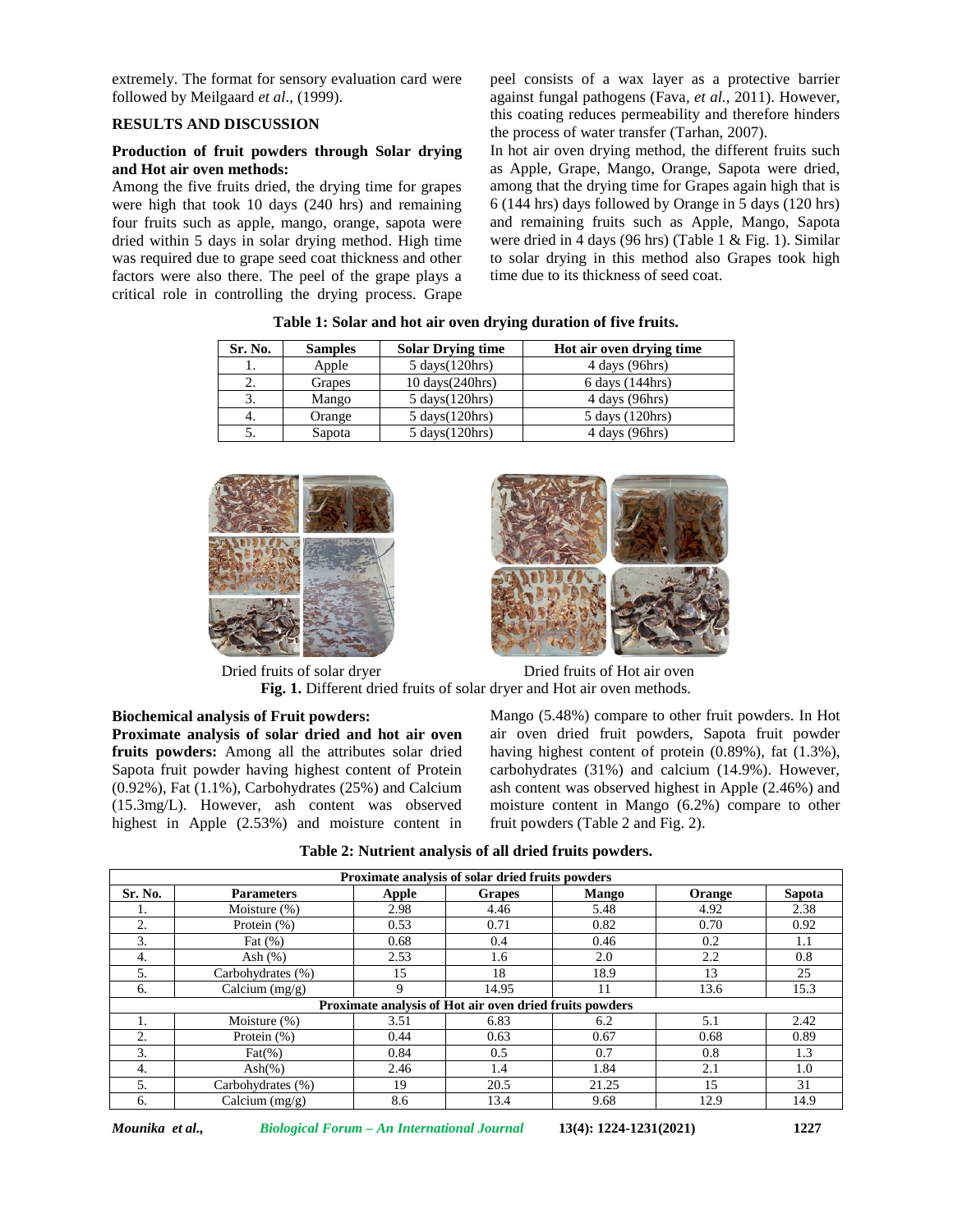extremely. The format for sensory evaluation card were followed by Meilgaard *et al*., (1999).

## **RESULTS AND DISCUSSION**

## **Production of fruit powders through Solar drying and Hot air oven methods:**

Among the five fruits dried, the drying time for grapes were high that took 10 days (240 hrs) and remaining four fruits such as apple, mango, orange, sapota were dried within 5 days in solar drying method. High time was required due to grape seed coat thickness and other factors were also there. The peel of the grape plays a critical role in controlling the drying process. Grape

peel consists of a wax layer as a protective barrier against fungal pathogens (Fava*, et al.,* 2011). However, this coating reduces permeability and therefore hinders the process of water transfer (Tarhan, 2007).

In hot air oven drying method, the different fruits such as Apple, Grape, Mango, Orange, Sapota were dried, among that the drying time for Grapes again high that is 6 (144 hrs) days followed by Orange in 5 days (120 hrs) and remaining fruits such as Apple, Mango, Sapota were dried in 4 days (96 hrs) (Table 1 & Fig. 1). Similar to solar drying in this method also Grapes took high time due to its thickness of seed coat.

| Sr. No. | <b>Samples</b> | <b>Solar Drying time</b>          | Hot air oven drying time |
|---------|----------------|-----------------------------------|--------------------------|
| 1.      | Apple          | $5 \text{ days}(120 \text{hrs})$  | 4 days (96hrs)           |
|         | Grapes         | $10 \text{ days}(240 \text{hrs})$ | 6 days (144hrs)          |
|         | Mango          | $5 \text{ days}(120 \text{hrs})$  | 4 days (96hrs)           |
| 4.      | Orange         | $5 \text{ days}(120 \text{hrs})$  | 5 days (120hrs)          |
|         | Sapota         | $5 \text{ days}(120 \text{hrs})$  | $4$ days (96hrs)         |

**Table 1: Solar and hot air oven drying duration of five fruits.**





Dried fruits of solar dryer Dried fruits of Hot air oven **Fig. 1.** Different dried fruits of solar dryer and Hot air oven methods.

**Biochemical analysis of Fruit powders: Proximate analysis of solar dried and hot air oven fruits powders:** Among all the attributes solar dried Sapota fruit powder having highest content of Protein (0.92%), Fat (1.1%), Carbohydrates (25%) and Calcium (15.3mg/L). However, ash content was observed highest in Apple (2.53%) and moisture content in Mango (5.48%) compare to other fruit powders. In Hot air oven dried fruit powders, Sapota fruit powder having highest content of protein (0.89%), fat (1.3%), carbohydrates (31%) and calcium (14.9%). However, ash content was observed highest in Apple (2.46%) and moisture content in Mango (6.2%) compare to other fruit powders (Table 2 and Fig.2).

**Table 2: Nutrient analysis of all dried fruits powders.**

| Proximate analysis of solar dried fruits powders            |                                    |       |                                                         |              |        |        |  |  |  |
|-------------------------------------------------------------|------------------------------------|-------|---------------------------------------------------------|--------------|--------|--------|--|--|--|
| Sr. No.                                                     | <b>Parameters</b>                  | Apple | <b>Grapes</b>                                           | <b>Mango</b> | Orange | Sapota |  |  |  |
| ı.                                                          | Moisture (%)                       | 2.98  | 4.46                                                    | 5.48         | 4.92   | 2.38   |  |  |  |
| 2.                                                          | Protein (%)                        | 0.53  | 0.71                                                    | 0.82         | 0.70   | 0.92   |  |  |  |
| 3.                                                          | Fat $(\%)$                         | 0.68  | 0.4                                                     | 0.46         | 0.2    | 1.1    |  |  |  |
| 4.                                                          | Ash $(%)$                          | 2.53  | 1.6                                                     | 2.0          | 2.2    | 0.8    |  |  |  |
| 5.                                                          | Carbohydrates (%)                  | 15    | 18                                                      | 18.9         | 13     | 25     |  |  |  |
| 6.                                                          | $\overline{\text{Calcium}}$ (mg/g) | 9     | 14.95                                                   | 11           | 13.6   | 15.3   |  |  |  |
|                                                             |                                    |       | Proximate analysis of Hot air oven dried fruits powders |              |        |        |  |  |  |
| 5.1<br>3.51<br>6.83<br>2.42<br>Moisture $(\%)$<br>6.2<br>Ι. |                                    |       |                                                         |              |        |        |  |  |  |
| 2.                                                          | Protein $(\% )$                    | 0.44  | 0.63                                                    | 0.67         | 0.68   | 0.89   |  |  |  |
| 3.                                                          | $\text{Fat}(\% )$                  | 0.84  | 0.5                                                     | 0.7          | 0.8    | 1.3    |  |  |  |
| 4.                                                          | $\text{Ash}(\%)$                   | 2.46  | 1.4                                                     | 1.84         | 2.1    | 1.0    |  |  |  |
| 5.                                                          | Carbohydrates (%)                  | 19    | 20.5                                                    | 21.25        | 15     | 31     |  |  |  |
| 6.                                                          | $\overline{\text{Calcium}}$ (mg/g) | 8.6   | 13.4                                                    | 9.68         | 12.9   | 14.9   |  |  |  |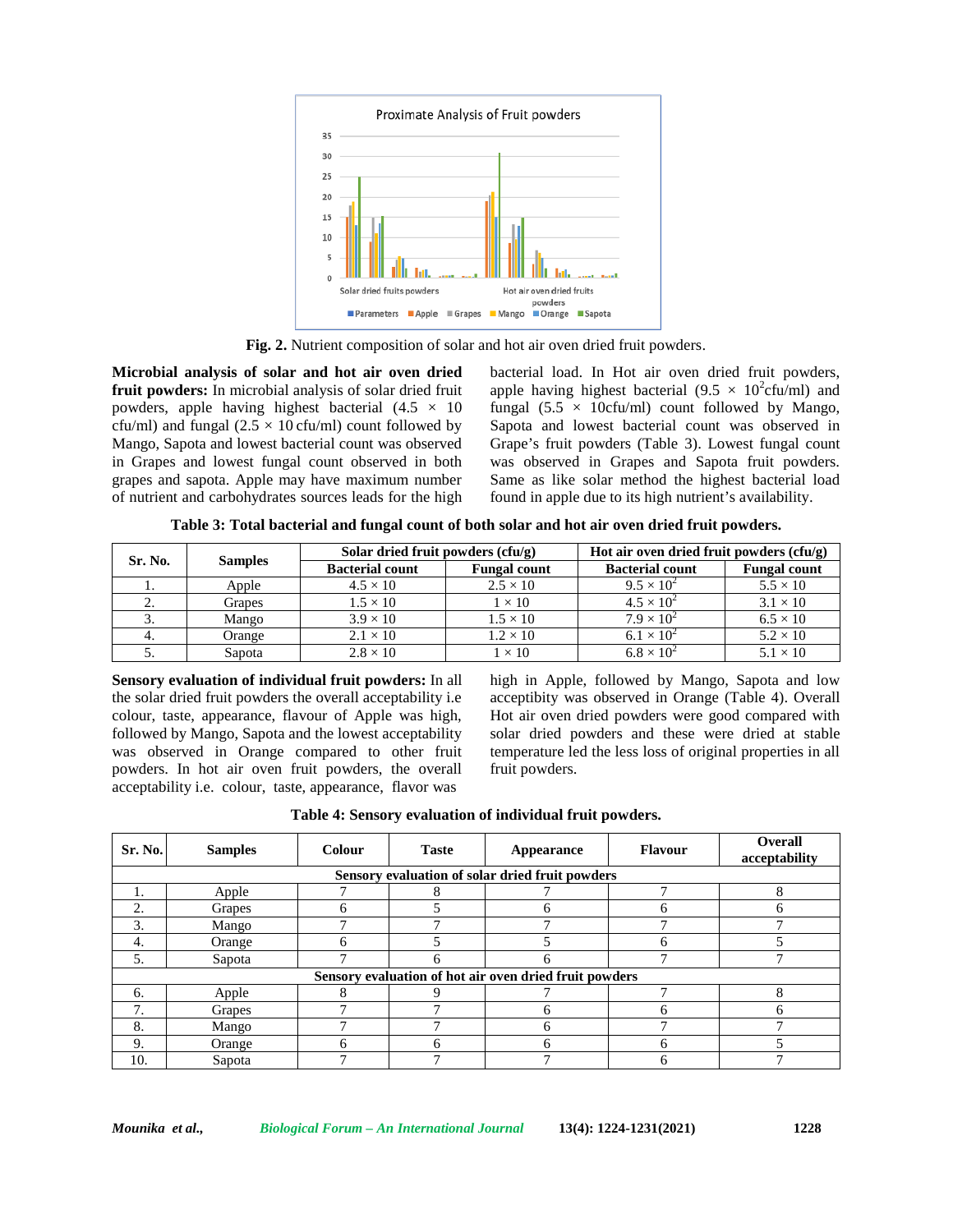

**Fig. 2.** Nutrient composition of solar and hot air oven dried fruit powders.

**Microbial analysis of solar and hot air oven dried fruit powders:** In microbial analysis of solar dried fruit powders, apple having highest bacterial  $(4.5 \times 10)$ cfu/ml) and fungal  $(2.5 \times 10 \text{ c}$ fu/ml) count followed by Mango, Sapota and lowest bacterial count was observed in Grapes and lowest fungal count observed in both grapes and sapota. Apple may have maximum number of nutrient and carbohydrates sources leads for the high bacterial load. In Hot air oven dried fruit powders, apple having highest bacterial (9.5  $\times$  10<sup>2</sup>cfu/ml) and fungal (5.5  $\times$  10cfu/ml) count followed by Mango, Sapota and lowest bacterial count was observed in Grape's fruit powders (Table 3). Lowest fungal count was observed in Grapes and Sapota fruit powders. Same as like solar method the highest bacterial load found in apple due to its high nutrient's availability.

**Table 3: Total bacterial and fungal count of both solar and hot air oven dried fruit powders.**

| Sr. No. | <b>Samples</b> | Solar dried fruit powders $(cfu/g)$ |                     | Hot air oven dried fruit powders $(cfu/g)$ |                     |  |
|---------|----------------|-------------------------------------|---------------------|--------------------------------------------|---------------------|--|
|         |                | <b>Bacterial count</b>              | <b>Fungal count</b> | <b>Bacterial count</b>                     | <b>Fungal count</b> |  |
|         | Apple          | $4.5 \times 10$                     | $2.5 \times 10$     | $9.5 \times 10^{2}$                        | $5.5 \times 10$     |  |
|         | Grapes         | $1.5 \times 10$                     | $1 \times 10$       | $4.5 \times 10^{2}$                        | $3.1 \times 10$     |  |
|         | Mango          | $3.9 \times 10$                     | $1.5 \times 10$     | $7.9 \times 10^{2}$                        | $6.5 \times 10$     |  |
|         | Orange         | $2.1 \times 10$                     | $1.2 \times 10$     | $6.1 \times 10^{2}$                        | $5.2 \times 10$     |  |
|         | Sapota         | $2.8 \times 10$                     | $\times$ 10         | $6.8 \times 10^{2}$                        | $5.1 \times 10$     |  |

**Sensory evaluation of individual fruit powders:** In all the solar dried fruit powders the overall acceptability i.e colour, taste, appearance, flavour of Apple was high, followed by Mango, Sapota and the lowest acceptability was observed in Orange compared to other fruit powders. In hot air oven fruit powders, the overall acceptability i.e. colour, taste, appearance, flavor was

high in Apple, followed by Mango, Sapota and low acceptibity was observed in Orange (Table 4). Overall Hot air oven dried powders were good compared with solar dried powders and these were dried at stable temperature led the less loss of original properties in all fruit powders.

|  | Table 4: Sensory evaluation of individual fruit powders. |  |
|--|----------------------------------------------------------|--|
|--|----------------------------------------------------------|--|

| Sr. No.                                         | <b>Samples</b> | Colour | <b>Taste</b> | Appearance                                             | <b>Flavour</b> | <b>Overall</b><br>acceptability |  |  |  |  |
|-------------------------------------------------|----------------|--------|--------------|--------------------------------------------------------|----------------|---------------------------------|--|--|--|--|
| Sensory evaluation of solar dried fruit powders |                |        |              |                                                        |                |                                 |  |  |  |  |
| ┍<br>8<br>Apple                                 |                |        |              |                                                        |                |                                 |  |  |  |  |
| 2.                                              | Grapes         | n      |              |                                                        | h              | h                               |  |  |  |  |
| 3.                                              | Mango          |        |              |                                                        |                |                                 |  |  |  |  |
| 4.                                              | Orange         |        |              |                                                        | h              |                                 |  |  |  |  |
| 5.                                              | Sapota         |        |              |                                                        |                |                                 |  |  |  |  |
|                                                 |                |        |              | Sensory evaluation of hot air oven dried fruit powders |                |                                 |  |  |  |  |
| 6.                                              | Apple          |        |              |                                                        |                | 8                               |  |  |  |  |
| 7                                               | Grapes         |        |              |                                                        | h              | h                               |  |  |  |  |
| 8.                                              | Mango          |        |              |                                                        |                |                                 |  |  |  |  |
| 9.                                              | Orange         | h      | h            |                                                        | 6              |                                 |  |  |  |  |
| 10.                                             | Sapota         |        |              |                                                        |                |                                 |  |  |  |  |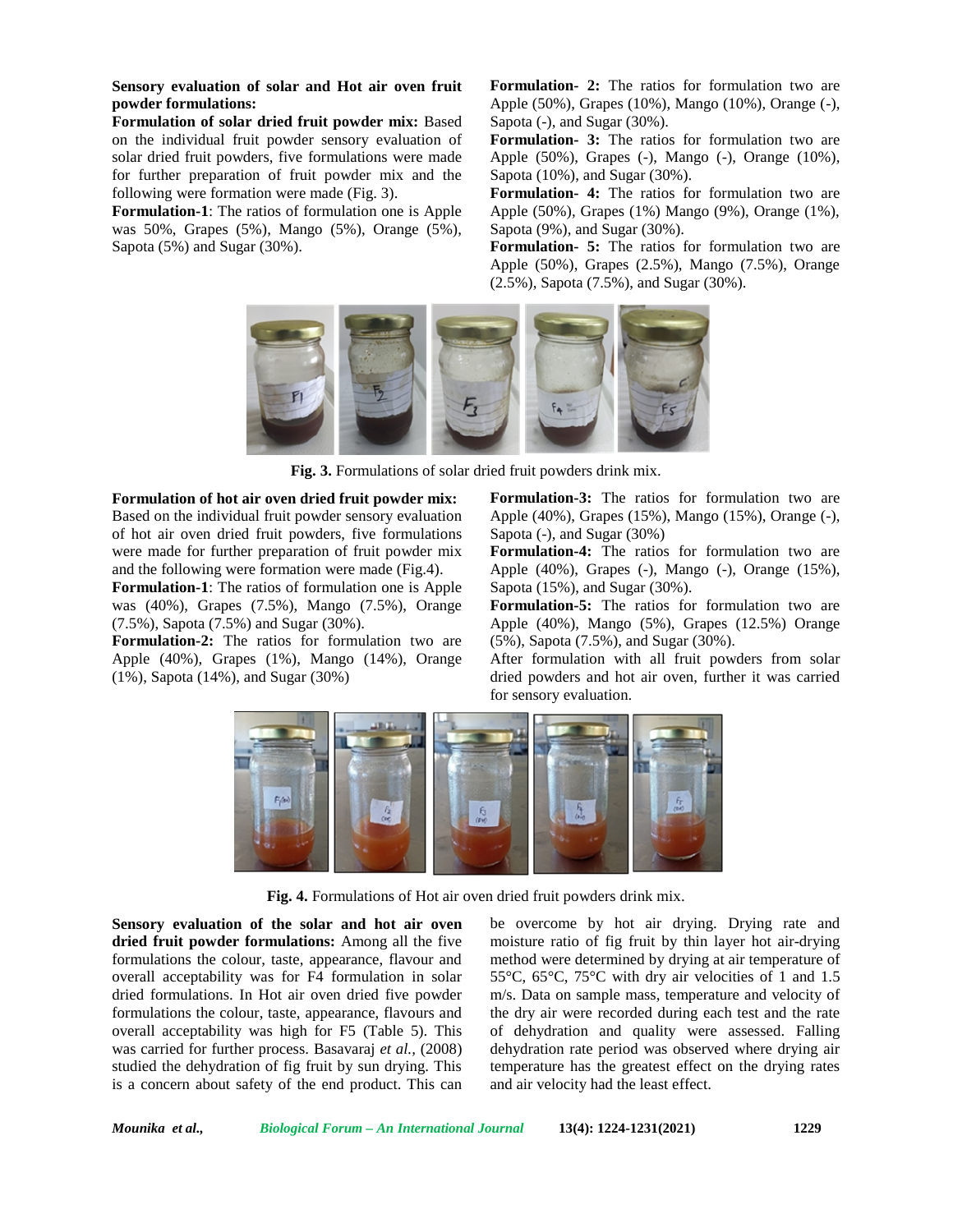**Sensory evaluation of solar and Hot air oven fruit powder formulations:**

**Formulation of solar dried fruit powder mix:** Based on the individual fruit powder sensory evaluation of solar dried fruit powders, five formulations were made for further preparation of fruit powder mix and the following were formation were made (Fig. 3).

**Formulation-1**: The ratios of formulation one is Apple was 50%, Grapes (5%), Mango (5%), Orange (5%), Sapota (5%) and Sugar (30%).

**Formulation- 2:** The ratios for formulation two are Apple (50%), Grapes (10%), Mango (10%), Orange (-), Sapota (-), and Sugar (30%).

**Formulation- 3:** The ratios for formulation two are Apple (50%), Grapes (-), Mango (-), Orange (10%), Sapota (10%), and Sugar (30%).

**Formulation- 4:** The ratios for formulation two are Apple (50%), Grapes (1%) Mango (9%), Orange (1%), Sapota (9%), and Sugar (30%).

**Formulation- 5:** The ratios for formulation two are Apple (50%), Grapes (2.5%), Mango (7.5%), Orange (2.5%), Sapota (7.5%), and Sugar (30%).



**Fig. 3.** Formulations of solar dried fruit powders drink mix.

#### **Formulation of hot air oven dried fruit powder mix:**

Based on the individual fruit powder sensory evaluation of hot air oven dried fruit powders, five formulations were made for further preparation of fruit powder mix and the following were formation were made (Fig.4).

**Formulation-1**: The ratios of formulation one is Apple was (40%), Grapes (7.5%), Mango (7.5%), Orange (7.5%), Sapota (7.5%) and Sugar (30%).

**Formulation-2:** The ratios for formulation two are Apple (40%), Grapes (1%), Mango (14%), Orange (1%), Sapota (14%), and Sugar (30%)

**Formulation-3:** The ratios for formulation two are Apple (40%), Grapes (15%), Mango (15%), Orange (-), Sapota (-), and Sugar (30%)

**Formulation-4:** The ratios for formulation two are Apple (40%), Grapes (-), Mango (-), Orange (15%), Sapota (15%), and Sugar (30%).

**Formulation-5:** The ratios for formulation two are Apple (40%), Mango (5%), Grapes (12.5%) Orange (5%), Sapota (7.5%), and Sugar (30%).

After formulation with all fruit powders from solar dried powders and hot air oven, further it was carried for sensory evaluation.



**Fig. 4.** Formulations of Hot air oven dried fruit powders drink mix.

**Sensory evaluation of the solar and hot air oven dried fruit powder formulations:** Among all the five formulations the colour, taste, appearance, flavour and overall acceptability was for F4 formulation in solar dried formulations. In Hot air oven dried five powder formulations the colour, taste, appearance, flavours and overall acceptability was high for F5 (Table 5). This was carried for further process. Basavaraj *et al.,* (2008) studied the dehydration of fig fruit by sun drying. This is a concern about safety of the end product. This can

be overcome by hot air drying. Drying rate and moisture ratio of fig fruit by thin layer hot air-drying method were determined by drying at air temperature of 55°C, 65°C, 75°C with dry air velocities of 1 and 1.5 m/s. Data on sample mass, temperature and velocity of the dry air were recorded during each test and the rate of dehydration and quality were assessed. Falling dehydration rate period was observed where drying air temperature has the greatest effect on the drying rates and air velocity had the least effect.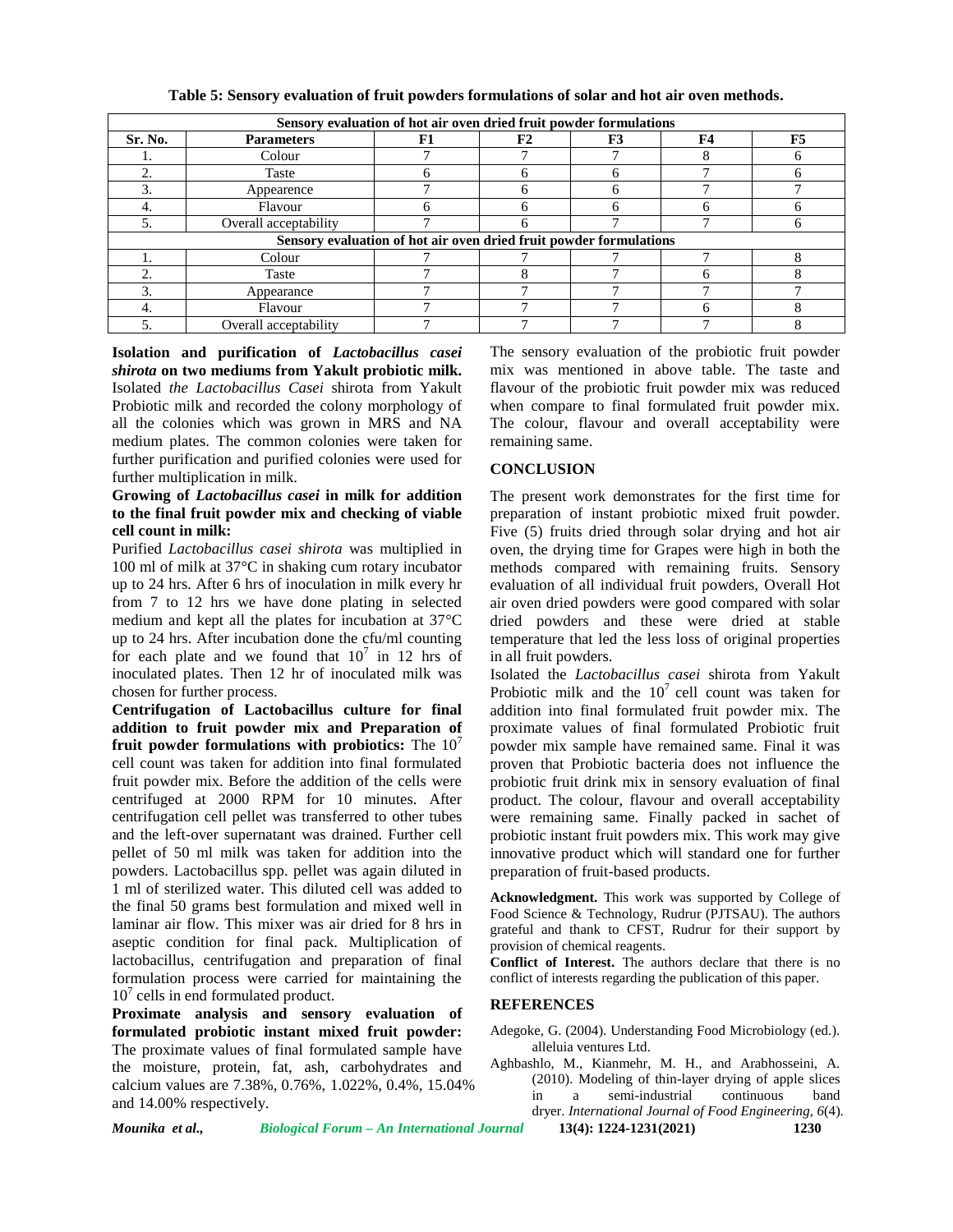| Sensory evaluation of hot air oven dried fruit powder formulations |                       |                                                                    |    |    |           |    |  |  |
|--------------------------------------------------------------------|-----------------------|--------------------------------------------------------------------|----|----|-----------|----|--|--|
| Sr. No.                                                            | <b>Parameters</b>     | F1                                                                 | F2 | F3 | <b>F4</b> | F5 |  |  |
|                                                                    | Colour                |                                                                    |    |    |           |    |  |  |
|                                                                    | Taste                 |                                                                    |    |    |           |    |  |  |
|                                                                    | Appearence            |                                                                    |    |    |           |    |  |  |
|                                                                    | Flavour               |                                                                    |    |    |           |    |  |  |
|                                                                    | Overall acceptability |                                                                    |    |    |           |    |  |  |
|                                                                    |                       | Sensory evaluation of hot air oven dried fruit powder formulations |    |    |           |    |  |  |
| Colour                                                             |                       |                                                                    |    |    |           |    |  |  |
|                                                                    | Taste                 |                                                                    |    |    |           |    |  |  |
|                                                                    | Appearance            |                                                                    |    |    |           |    |  |  |
|                                                                    | Flavour               |                                                                    |    |    |           |    |  |  |
|                                                                    | Overall acceptability |                                                                    |    |    |           |    |  |  |

**Table 5: Sensory evaluation of fruit powders formulations of solar and hot air oven methods.**

**Isolation and purification of** *Lactobacillus casei shirota* **on two mediums from Yakult probiotic milk.** Isolated *the Lactobacillus Casei* shirota from Yakult Probiotic milk and recorded the colony morphology of all the colonies which was grown in MRS and NA medium plates. The common colonies were taken for further purification and purified colonies were used for further multiplication in milk.

#### **Growing of** *Lactobacillus casei* **in milk for addition to the final fruit powder mix and checking of viable cell count in milk:**

Purified *Lactobacillus casei shirota* was multiplied in 100 ml of milk at 37°C in shaking cum rotary incubator up to 24 hrs. After 6 hrs of inoculation in milk every hr from 7 to 12 hrs we have done plating in selected medium and kept all the plates for incubation at 37°C up to 24 hrs. After incubation done the cfu/ml counting for each plate and we found that  $10^7$  in 12 hrs of in inoculated plates. Then 12 hr of inoculated milk was chosen for further process.

**Centrifugation of Lactobacillus culture for final addition to fruit powder mix and Preparation of fruit powder formulations with probiotics:** The 10<sup>7</sup> cell count was taken for addition into final formulated fruit powder mix. Before the addition of the cells were centrifuged at 2000 RPM for 10 minutes. After centrifugation cell pellet was transferred to other tubes and the left-over supernatant was drained. Further cell pellet of 50 ml milk was taken for addition into the powders. Lactobacillus spp. pellet was again diluted in 1 ml of sterilized water. This diluted cell was added to the final 50 grams best formulation and mixed well in laminar air flow. This mixer was air dried for 8 hrs in aseptic condition for final pack. Multiplication of lactobacillus, centrifugation and preparation of final formulation process were carried for maintaining the  $10<sup>7</sup>$  cells in end formulated product.

**Proximate analysis and sensory evaluation of formulated probiotic instant mixed fruit powder:** The proximate values of final formulated sample have the moisture, protein, fat, ash, carbohydrates and calcium values are 7.38%, 0.76%, 1.022%, 0.4%, 15.04% (2010).  $\frac{(2010)}{\text{in}}$  a and 14.00% respectively.

The sensory evaluation of the probiotic fruit powder mix was mentioned in above table. The taste and flavour of the probiotic fruit powder mix was reduced when compare to final formulated fruit powder mix. The colour, flavour and overall acceptability were remaining same.

## **CONCLUSION**

The present work demonstrates for the first time for preparation of instant probiotic mixed fruit powder. Five (5) fruits dried through solar drying and hot air oven, the drying time for Grapes were high in both the methods compared with remaining fruits. Sensory evaluation of all individual fruit powders, Overall Hot air oven dried powders were good compared with solar dried powders and these were dried at stable temperature that led the less loss of original properties in all fruit powders.

Isolated the *Lactobacillus casei* shirota from Yakult Probiotic milk and the  $10<sup>7</sup>$  cell count was taken for addition into final formulated fruit powder mix. The proximate values of final formulated Probiotic fruit powder mix sample have remained same. Final it was proven that Probiotic bacteria does not influence the probiotic fruit drink mix in sensory evaluation of final product. The colour, flavour and overall acceptability were remaining same. Finally packed in sachet of probiotic instant fruit powders mix. This work may give innovative product which will standard one for further preparation of fruit-based products.

**Acknowledgment.** This work was supported by College of Food Science & Technology, Rudrur (PJTSAU). The authors grateful and thank to CFST, Rudrur for their support by provision of chemical reagents.

**Conflict of Interest.** The authors declare that there is no conflict of interests regarding the publication of this paper.

#### **REFERENCES**

- Adegoke, G. (2004). Understanding Food Microbiology (ed.). alleluia ventures Ltd.
- Aghbashlo, M., Kianmehr, M. H., and Arabhosseini, A. (2010). Modeling of thin-layer drying of apple slices semi-industrial continuous band dryer. *International Journal of Food Engineering*, *6*(4).